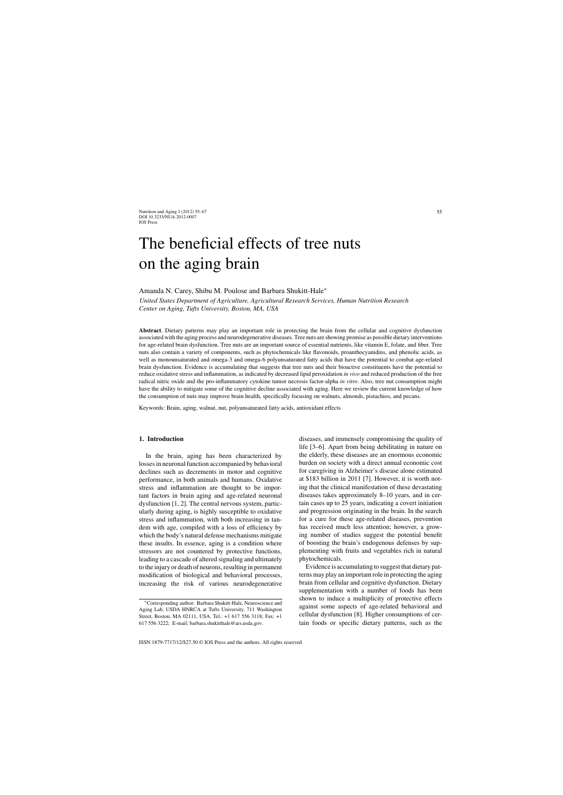# The beneficial effects of tree nuts on the aging brain

Amanda N. Carey, Shibu M. Poulose and Barbara Shukitt-Hale<sup>∗</sup>

*United States Department of Agriculture, Agricultural Research Services, Human Nutrition Research Center on Aging, Tufts University, Boston, MA, USA*

**Abstract**. Dietary patterns may play an important role in protecting the brain from the cellular and cognitive dysfunction associated with the aging process and neurodegenerative diseases. Tree nuts are showing promise as possible dietary interventions for age-related brain dysfunction. Tree nuts are an important source of essential nutrients, like vitamin E, folate, and fiber. Tree nuts also contain a variety of components, such as phytochemicals like flavonoids, proanthocyanidins, and phenolic acids, as well as monounsaturated and omega-3 and omega-6 polyunsaturated fatty acids that have the potential to combat age-related brain dysfunction. Evidence is accumulating that suggests that tree nuts and their bioactive constituents have the potential to reduce oxidative stress and inflammation, as indicated by decreased lipid peroxidation *in vivo* and reduced production of the free radical nitric oxide and the pro-inflammatory cytokine tumor necrosis factor-alpha *in vitro*. Also, tree nut consumption might have the ability to mitigate some of the cognitive decline associated with aging. Here we review the current knowledge of how the consumption of nuts may improve brain health, specifically focusing on walnuts, almonds, pistachios, and pecans.

Keywords: Brain, aging, walnut, nut, polyunsaturated fatty acids, antioxidant effects

#### **1. Introduction**

In the brain, aging has been characterized by losses in neuronal function accompanied by behavioral declines such as decrements in motor and cognitive performance, in both animals and humans. Oxidative stress and inflammation are thought to be important factors in brain aging and age-related neuronal dysfunction [1, 2]. The central nervous system, particularly during aging, is highly susceptible to oxidative stress and inflammation, with both increasing in tandem with age, compiled with a loss of efficiency by which the body's natural defense mechanisms mitigate these insults. In essence, aging is a condition where stressors are not countered by protective functions, leading to a cascade of altered signaling and ultimately to the injury or death of neurons, resulting in permanent modification of biological and behavioral processes, increasing the risk of various neurodegenerative

diseases, and immensely compromising the quality of life [3–6]. Apart from being debilitating in nature on the elderly, these diseases are an enormous economic burden on society with a direct annual economic cost for caregiving in Alzheimer's disease alone estimated at \$183 billion in 2011 [7]. However, it is worth noting that the clinical manifestation of these devastating diseases takes approximately 8–10 years, and in certain cases up to 25 years, indicating a covert initiation and progression originating in the brain. In the search for a cure for these age-related diseases, prevention has received much less attention; however, a growing number of studies suggest the potential benefit of boosting the brain's endogenous defenses by supplementing with fruits and vegetables rich in natural phytochemicals.

Evidence is accumulating to suggest that dietary patterns may play an important role in protecting the aging brain from cellular and cognitive dysfunction. Dietary supplementation with a number of foods has been shown to induce a multiplicity of protective effects against some aspects of age-related behavioral and cellular dysfunction [8]. Higher consumptions of certain foods or specific dietary patterns, such as the

<sup>∗</sup>Corresponding author: Barbara Shukitt-Hale, Neuroscience and Aging Lab, USDA HNRCA at Tufts University, 711 Washington Street, Boston, MA 02111, USA. Tel.: +1 617 556 3118; Fax: +1 617 556 3222; E-mail: [barbara.shukitthale@ars.usda.gov.](mailto:barbara.shukitthale@ars.usda.gov)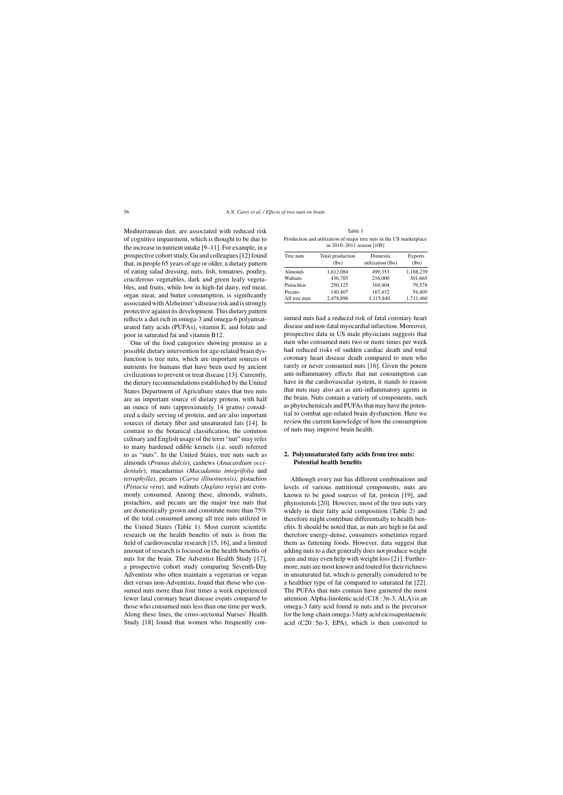Mediterranean diet, are associated with reduced risk of cognitive impairment, which is thought to be due to the increase in nutrient intake [9–11]. For example, in a prospective cohort study, Gu and colleagues [12] found that, in people 65 years of age or older, a dietary pattern of eating salad dressing, nuts, fish, tomatoes, poultry, cruciferous vegetables, dark and green leafy vegetables, and fruits, while low in high-fat dairy, red meat, organ meat, and butter consumption, is significantly associated with Alzheimer's disease risk and is strongly protective against its development. This dietary pattern reflects a diet rich in omega-3 and omega-6 polyunsaturated fatty acids (PUFAs), vitamin E, and folate and poor in saturated fat and vitamin B12.

One of the food categories showing promise as a possible dietary intervention for age-related brain dysfunction is tree nuts, which are important sources of nutrients for humans that have been used by ancient civilizations to prevent or treat disease [13]. Currently, the dietary recommendations established by the United States Department of Agriculture states that tree nuts are an important source of dietary protein, with half an ounce of nuts (approximately 14 grams) considered a daily serving of protein, and are also important sources of dietary fiber and unsaturated fats [14]. In contrast to the botanical classification, the common culinary and English usage of the term "nut" may refer to many hardened edible kernels (i.e. seed) referred to as "nuts". In the United States, tree nuts such as almonds (*Prunus dulcis*), cashews (*Anacardium occidentale*), macadamias (*Macadamia integrifolia* and *tetraphylla*), pecans (*Carya illinoinensis)*, pistachios (*Pistacia vera*), and walnuts (*Juglans regia*) are commonly consumed. Among these, almonds, walnuts, pistachios, and pecans are the major tree nuts that are domestically grown and constitute more than 75% of the total consumed among all tree nuts utilized in the United States (Table 1). Most current scientific research on the health benefits of nuts is from the field of cardiovascular research [15, 16], and a limited amount of research is focused on the health benefits of nuts for the brain. The Adventist Health Study [17], a prospective cohort study comparing Seventh-Day Adventists who often maintain a vegetarian or vegan diet versus non-Adventists, found that those who consumed nuts more than four times a week experienced fewer fatal coronary heart disease events compared to those who consumed nuts less than one time per week. Along these lines, the cross-sectional Nurses' Health Study [18] found that women who frequently con-

Table 1 Production and utilization of major tree nuts in the US marketplace in 2010–2011 season [108]

| Tree nuts     | Total production<br>(lbs) | Domestic<br>utilization (lbs) | <b>Exports</b><br>(lbs) |
|---------------|---------------------------|-------------------------------|-------------------------|
| Almonds       | 1,612,084                 | 499,353                       | 1,188,239               |
| Walnuts       | 436,785                   | 216,000                       | 301,665                 |
| Pistachios    | 250,125                   | 169,404                       | 79,578                  |
| Pecans        | 140,407                   | 167,432                       | 54,405                  |
| All tree nuts | 2,478,896                 | 1,315,840                     | 1,711,460               |

sumed nuts had a reduced risk of fatal coronary heart disease and non-fatal myocardial infarction. Moreover, prospective data in US male physicians suggests that men who consumed nuts two or more times per week had reduced risks of sudden cardiac death and total coronary heart disease death compared to men who rarely or never consumed nuts [16]. Given the potent anti-inflammatory effects that nut consumption can have in the cardiovascular system, it stands to reason that nuts may also act as anti-inflammatory agents in the brain. Nuts contain a variety of components, such as phytochemicals and PUFAs that may have the potential to combat age-related brain dysfunction. Here we review the current knowledge of how the consumption of nuts may improve brain health.

## **2. Polyunsaturated fatty acids from tree nuts: Potential health benefits**

Although every nut has different combinations and levels of various nutritional components, nuts are known to be good sources of fat, protein [19], and phytosterols [20]. However, most of the tree nuts vary widely in their fatty acid composition (Table 2) and therefore might contribute differentially to health benefits. It should be noted that, as nuts are high in fat and therefore energy-dense, consumers sometimes regard them as fattening foods. However, data suggest that adding nuts to a diet generally does not produce weight gain and may even help with weight loss [21]. Furthermore, nuts are most known and touted for their richness in unsaturated fat, which is generally considered to be a healthier type of fat compared to saturated fat [22]. The PUFAs that nuts contain have garnered the most attention. Alpha-linolenic acid (C18 : 3n-3, ALA) is an omega-3 fatty acid found in nuts and is the precursor for the long-chain omega-3 fatty acid eicosapentaenoic acid (C20 : 5n-3, EPA), which is then converted to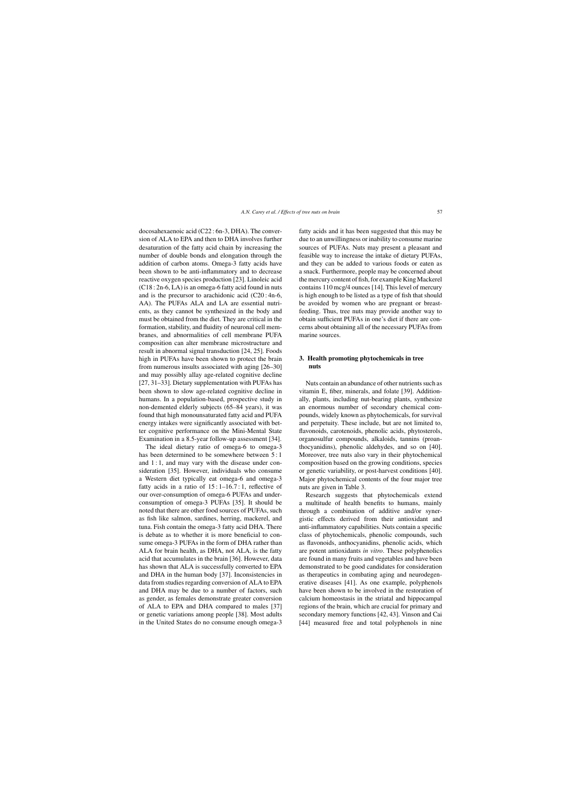docosahexaenoic acid (C22 : 6n-3, DHA). The conversion of ALA to EPA and then to DHA involves further desaturation of the fatty acid chain by increasing the number of double bonds and elongation through the addition of carbon atoms. Omega-3 fatty acids have been shown to be anti-inflammatory and to decrease reactive oxygen species production [23]. Linoleic acid (C18 : 2n-6, LA) is an omega-6 fatty acid found in nuts and is the precursor to arachidonic acid (C20 : 4n-6, AA). The PUFAs ALA and LA are essential nutrients, as they cannot be synthesized in the body and must be obtained from the diet. They are critical in the formation, stability, and fluidity of neuronal cell membranes, and abnormalities of cell membrane PUFA composition can alter membrane microstructure and result in abnormal signal transduction [24, 25]. Foods high in PUFAs have been shown to protect the brain from numerous insults associated with aging [26–30] and may possibly allay age-related cognitive decline [27, 31–33]. Dietary supplementation with PUFAs has been shown to slow age-related cognitive decline in humans. In a population-based, prospective study in non-demented elderly subjects (65–84 years), it was found that high monounsaturated fatty acid and PUFA energy intakes were significantly associated with better cognitive performance on the Mini-Mental State Examination in a 8.5-year follow-up assessment [34].

The ideal dietary ratio of omega-6 to omega-3 has been determined to be somewhere between 5 : 1 and  $1:1$ , and may vary with the disease under consideration [35]. However, individuals who consume a Western diet typically eat omega-6 and omega-3 fatty acids in a ratio of  $15:1-16.7:1$ , reflective of our over-consumption of omega-6 PUFAs and underconsumption of omega-3 PUFAs [35]. It should be noted that there are other food sources of PUFAs, such as fish like salmon, sardines, herring, mackerel, and tuna. Fish contain the omega-3 fatty acid DHA. There is debate as to whether it is more beneficial to consume omega-3 PUFAs in the form of DHA rather than ALA for brain health, as DHA, not ALA, is the fatty acid that accumulates in the brain [36]. However, data has shown that ALA is successfully converted to EPA and DHA in the human body [37]. Inconsistencies in data from studies regarding conversion of ALA to EPA and DHA may be due to a number of factors, such as gender, as females demonstrate greater conversion of ALA to EPA and DHA compared to males [37] or genetic variations among people [38]. Most adults in the United States do no consume enough omega-3

fatty acids and it has been suggested that this may be due to an unwillingness or inability to consume marine sources of PUFAs. Nuts may present a pleasant and feasible way to increase the intake of dietary PUFAs, and they can be added to various foods or eaten as a snack. Furthermore, people may be concerned about the mercury content of fish, for example King Mackerel contains 110 mcg/4 ounces [14]. This level of mercury is high enough to be listed as a type of fish that should be avoided by women who are pregnant or breastfeeding. Thus, tree nuts may provide another way to obtain sufficient PUFAs in one's diet if there are concerns about obtaining all of the necessary PUFAs from marine sources.

## **3. Health promoting phytochemicals in tree nuts**

Nuts contain an abundance of other nutrients such as vitamin E, fiber, minerals, and folate [39]. Additionally, plants, including nut-bearing plants, synthesize an enormous number of secondary chemical compounds, widely known as phytochemicals, for survival and perpetuity. These include, but are not limited to, flavonoids, carotenoids, phenolic acids, phytosterols, organosulfur compounds, alkaloids, tannins (proanthocyanidins), phenolic aldehydes, and so on [40]. Moreover, tree nuts also vary in their phytochemical composition based on the growing conditions, species or genetic variability, or post-harvest conditions [40]. Major phytochemical contents of the four major tree nuts are given in Table 3.

Research suggests that phytochemicals extend a multitude of health benefits to humans, mainly through a combination of additive and/or synergistic effects derived from their antioxidant and anti-inflammatory capabilities. Nuts contain a specific class of phytochemicals, phenolic compounds, such as flavonoids, anthocyanidins, phenolic acids, which are potent antioxidants *in vitro*. These polyphenolics are found in many fruits and vegetables and have been demonstrated to be good candidates for consideration as therapeutics in combating aging and neurodegenerative diseases [41]. As one example, polyphenols have been shown to be involved in the restoration of calcium homeostasis in the striatal and hippocampal regions of the brain, which are crucial for primary and secondary memory functions [42, 43]. Vinson and Cai [44] measured free and total polyphenols in nine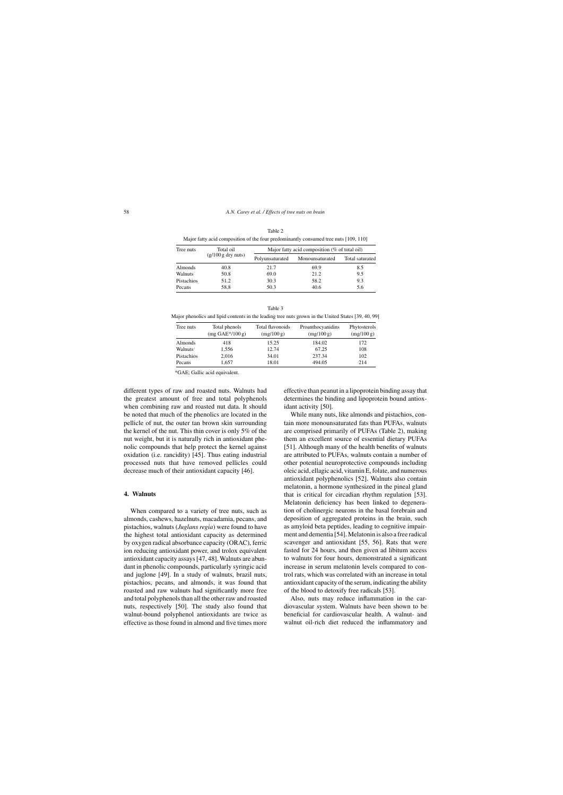| Major fatty acid composition of the four predominantly consumed tree nuts [109, 110] |                                   |                                                  |                 |                 |
|--------------------------------------------------------------------------------------|-----------------------------------|--------------------------------------------------|-----------------|-----------------|
| Tree nuts                                                                            | Total oil<br>$(g/100 g$ dry nuts) | Major fatty acid composition ( $%$ of total oil) |                 |                 |
|                                                                                      |                                   | Polyunsaturated                                  | Monounsaturated | Total saturated |
| Almonds                                                                              | 40.8                              | 21.7                                             | 69.9            | 8.5             |
| Walnuts                                                                              | 50.8                              | 69.0                                             | 21.2            | 9.5             |
| Pistachios                                                                           | 51.2                              | 30.3                                             | 58.2            | 9.3             |
| Pecans                                                                               | 58.8                              | 50.3                                             | 40.6            | 5.6             |

| Table 2                                                                              |  |
|--------------------------------------------------------------------------------------|--|
| Major fatty acid composition of the four predominantly consumed tree nuts [109, 110] |  |

|                                                                                                                                                                                                                                |                         | Table 3 |                                                                                                                                                             |                       |
|--------------------------------------------------------------------------------------------------------------------------------------------------------------------------------------------------------------------------------|-------------------------|---------|-------------------------------------------------------------------------------------------------------------------------------------------------------------|-----------------------|
| Major phenolics and lipid contents in the leading tree nuts grown in the United States [39, 40, 99]                                                                                                                            |                         |         |                                                                                                                                                             |                       |
| The contract of the contract of the contract of the contract of the contract of the contract of the contract of the contract of the contract of the contract of the contract of the contract of the contract of the contract o | $T = 1.1$ and $T = 1.1$ |         | $\mathbf{F}_{\text{total}}$ and $\mathbf{A}_{\text{total}}$ and $\mathbf{A}_{\text{total}}$ are $\mathbf{B}_{\text{total}}$ and $\mathbf{A}_{\text{total}}$ | $D_{2} + 4 - 4 - 1 -$ |

| Tree nuts  | Total phenols<br>$(mg \text{ GAE*}/100 g)$ | Total flavonoids<br>(mg/100 g) | Proanthocyanidins<br>(mg/100 g) | Phytosterols<br>(mg/100 g) |
|------------|--------------------------------------------|--------------------------------|---------------------------------|----------------------------|
| Almonds    | 418                                        | 15.25                          | 184.02                          | 172                        |
| Walnuts    | 1.556                                      | 12.74                          | 67.25                           | 108                        |
| Pistachios | 2.016                                      | 34.01                          | 237.34                          | 102                        |
| Pecans     | 1.657                                      | 18.01                          | 494.05                          | 214                        |

\*GAE; Gallic acid equivalent.

different types of raw and roasted nuts. Walnuts had the greatest amount of free and total polyphenols when combining raw and roasted nut data. It should be noted that much of the phenolics are located in the pellicle of nut, the outer tan brown skin surrounding the kernel of the nut. This thin cover is only 5% of the nut weight, but it is naturally rich in antioxidant phenolic compounds that help protect the kernel against oxidation (i.e. rancidity) [45]. Thus eating industrial processed nuts that have removed pellicles could decrease much of their antioxidant capacity [46].

#### **4. Walnuts**

When compared to a variety of tree nuts, such as almonds, cashews, hazelnuts, macadamia, pecans, and pistachios, walnuts (*Juglans regia*) were found to have the highest total antioxidant capacity as determined by oxygen radical absorbance capacity (ORAC), ferric ion reducing antioxidant power, and trolox equivalent antioxidant capacity assays [47, 48]. Walnuts are abundant in phenolic compounds, particularly syringic acid and juglone [49]. In a study of walnuts, brazil nuts, pistachios, pecans, and almonds, it was found that roasted and raw walnuts had significantly more free and total polyphenols than all the other raw and roasted nuts, respectively [50]. The study also found that walnut-bound polyphenol antioxidants are twice as effective as those found in almond and five times more

effective than peanut in a lipoprotein binding assay that determines the binding and lipoprotein bound antioxidant activity [50].

While many nuts, like almonds and pistachios, contain more monounsaturated fats than PUFAs, walnuts are comprised primarily of PUFAs (Table 2), making them an excellent source of essential dietary PUFAs [51]. Although many of the health benefits of walnuts are attributed to PUFAs, walnuts contain a number of other potential neuroprotective compounds including oleic acid, ellagic acid, vitamin E, folate, and numerous antioxidant polyphenolics [52]. Walnuts also contain melatonin, a hormone synthesized in the pineal gland that is critical for circadian rhythm regulation [53]. Melatonin deficiency has been linked to degeneration of cholinergic neurons in the basal forebrain and deposition of aggregated proteins in the brain, such as amyloid beta peptides, leading to cognitive impairment and dementia [54]. Melatonin is also a free radical scavenger and antioxidant [55, 56]. Rats that were fasted for 24 hours, and then given ad libitum access to walnuts for four hours, demonstrated a significant increase in serum melatonin levels compared to control rats, which was correlated with an increase in total antioxidant capacity of the serum, indicating the ability of the blood to detoxify free radicals [53].

Also, nuts may reduce inflammation in the cardiovascular system. Walnuts have been shown to be beneficial for cardiovascular health. A walnut- and walnut oil-rich diet reduced the inflammatory and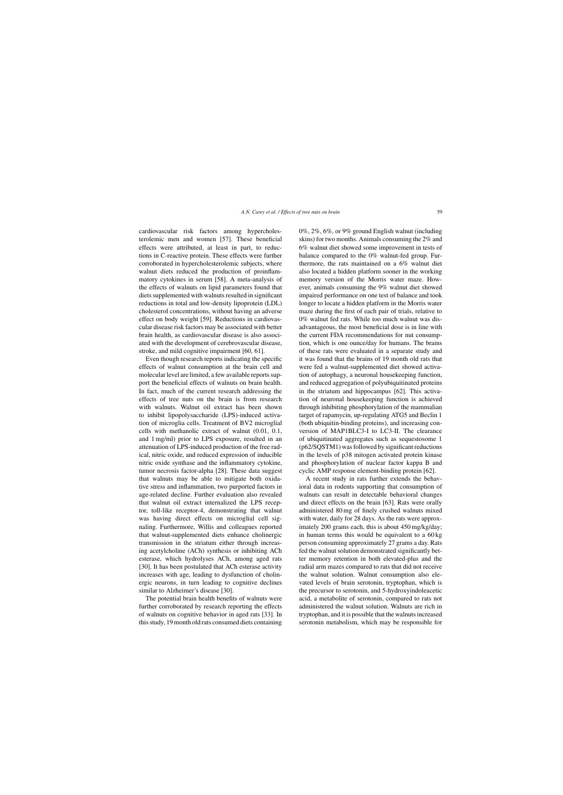cardiovascular risk factors among hypercholesterolemic men and women [57]. These beneficial effects were attributed, at least in part, to reductions in C-reactive protein. These effects were further corroborated in hypercholesterolemic subjects, where walnut diets reduced the production of proinflammatory cytokines in serum [58]. A meta-analysis of the effects of walnuts on lipid parameters found that diets supplemented with walnuts resulted in significant reductions in total and low-density lipoprotein (LDL) cholesterol concentrations, without having an adverse effect on body weight [59]. Reductions in cardiovascular disease risk factors may be associated with better brain health, as cardiovascular disease is also associated with the development of cerebrovascular disease, stroke, and mild cognitive impairment [60, 61].

Even though research reports indicating the specific effects of walnut consumption at the brain cell and molecular level are limited, a few available reports support the beneficial effects of walnuts on brain health. In fact, much of the current research addressing the effects of tree nuts on the brain is from research with walnuts. Walnut oil extract has been shown to inhibit lipopolysaccharide (LPS)-induced activation of microglia cells. Treatment of BV2 microglial cells with methanolic extract of walnut (0.01, 0.1, and 1 mg/ml) prior to LPS exposure, resulted in an attenuation of LPS-induced production of the free radical, nitric oxide, and reduced expression of inducible nitric oxide synthase and the inflammatory cytokine, tumor necrosis factor-alpha [28]. These data suggest that walnuts may be able to mitigate both oxidative stress and inflammation, two purported factors in age-related decline. Further evaluation also revealed that walnut oil extract internalized the LPS receptor, toll-like receptor-4, demonstrating that walnut was having direct effects on microglial cell signaling. Furthermore, Willis and colleagues reported that walnut-supplemented diets enhance cholinergic transmission in the striatum either through increasing acetylcholine (ACh) synthesis or inhibiting ACh esterase, which hydrolyses ACh, among aged rats [30]. It has been postulated that ACh esterase activity increases with age, leading to dysfunction of cholinergic neurons, in turn leading to cognitive declines similar to Alzheimer's disease [30].

The potential brain health benefits of walnuts were further corroborated by research reporting the effects of walnuts on cognitive behavior in aged rats [33]. In this study, 19 month old rats consumed diets containing 0%, 2%, 6%, or 9% ground English walnut (including skins) for two months. Animals consuming the 2% and 6% walnut diet showed some improvement in tests of balance compared to the 0% walnut-fed group. Furthermore, the rats maintained on a 6% walnut diet also located a hidden platform sooner in the working memory version of the Morris water maze. However, animals consuming the 9% walnut diet showed impaired performance on one test of balance and took longer to locate a hidden platform in the Morris water maze during the first of each pair of trials, relative to 0% walnut fed rats. While too much walnut was disadvantageous, the most beneficial dose is in line with the current FDA recommendations for nut consumption, which is one ounce/day for humans. The brains of these rats were evaluated in a separate study and it was found that the brains of 19 month old rats that were fed a walnut-supplemented diet showed activation of autophagy, a neuronal housekeeping function, and reduced aggregation of polyubiquitinated proteins in the striatum and hippocampus [62]. This activation of neuronal housekeeping function is achieved through inhibiting phosphorylation of the mammalian target of rapamycin, up-regulating ATG5 and Beclin 1 (both ubiquitin-binding proteins), and increasing conversion of MAP1BLC3-I to LC3-II. The clearance of ubiquitinated aggregates such as sequestosome 1 (p62/SQSTM1) was followed by significant reductions in the levels of p38 mitogen activated protein kinase and phosphorylation of nuclear factor kappa B and cyclic AMP response element-binding protein [62].

A recent study in rats further extends the behavioral data in rodents supporting that consumption of walnuts can result in detectable behavioral changes and direct effects on the brain [63]. Rats were orally administered 80 mg of finely crushed walnuts mixed with water, daily for 28 days. As the rats were approximately 200 grams each, this is about 450 mg/kg/day; in human terms this would be equivalent to a 60 kg person consuming approximately 27 grams a day. Rats fed the walnut solution demonstrated significantly better memory retention in both elevated-plus and the radial arm mazes compared to rats that did not receive the walnut solution. Walnut consumption also elevated levels of brain serotonin, tryptophan, which is the precursor to serotonin, and 5-hydroxyindoleacetic acid, a metabolite of serotonin, compared to rats not administered the walnut solution. Walnuts are rich in tryptophan, and it is possible that the walnuts increased serotonin metabolism, which may be responsible for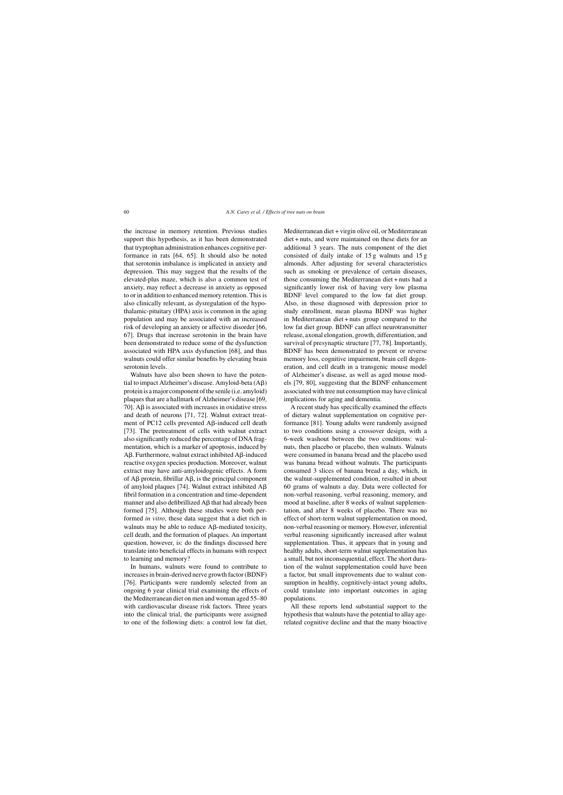the increase in memory retention. Previous studies support this hypothesis, as it has been demonstrated that tryptophan administration enhances cognitive performance in rats [64, 65]. It should also be noted that serotonin imbalance is implicated in anxiety and depression. This may suggest that the results of the elevated-plus maze, which is also a common test of anxiety, may reflect a decrease in anxiety as opposed to or in addition to enhanced memory retention. This is also clinically relevant, as dysregulation of the hypothalamic-pituitary (HPA) axis is common in the aging population and may be associated with an increased risk of developing an anxiety or affective disorder [66, 67]. Drugs that increase serotonin in the brain have been demonstrated to reduce some of the dysfunction associated with HPA axis dysfunction [68], and thus walnuts could offer similar benefits by elevating brain serotonin levels.

Walnuts have also been shown to have the potential to impact Alzheimer's disease. Amyloid-beta  $(AB)$ protein is a major component of the senile (i.e. amyloid) plaques that are a hallmark of Alzheimer's disease [69, 70].  $\Delta \beta$  is associated with increases in oxidative stress and death of neurons [71, 72]. Walnut extract treatment of PC12 cells prevented  $\mathsf{A}\mathsf{B}\text{-induced}$  cell death [73]. The pretreatment of cells with walnut extract also significantly reduced the percentage of DNA fragmentation, which is a marker of apoptosis, induced by  $A\beta$ . Furthermore, walnut extract inhibited  $A\beta$ -induced reactive oxygen species production. Moreover, walnut extract may have anti-amyloidogenic effects. A form of  $\overrightarrow{AB}$  protein, fibrillar  $\overrightarrow{AB}$ , is the principal component of amyloid plaques [74]. Walnut extract inhibited  $AB$ fibril formation in a concentration and time-dependent manner and also defibrillized  $\overrightarrow{AB}$  that had already been formed [75]. Although these studies were both performed *in vitro*, these data suggest that a diet rich in walnuts may be able to reduce  $\mathsf{A}\mathsf{B}\text{-mediated toxicity},$ cell death, and the formation of plaques. An important question, however, is: do the findings discussed here translate into beneficial effects in humans with respect to learning and memory?

In humans, walnuts were found to contribute to increases in brain-derived nerve growth factor (BDNF) [76]. Participants were randomly selected from an ongoing 6 year clinical trial examining the effects of the Mediterranean diet on men and woman aged 55–80 with cardiovascular disease risk factors. Three years into the clinical trial, the participants were assigned to one of the following diets: a control low fat diet,

Mediterranean diet + virgin olive oil, or Mediterranean diet + nuts, and were maintained on these diets for an additional 3 years. The nuts component of the diet consisted of daily intake of 15 g walnuts and 15 g almonds. After adjusting for several characteristics such as smoking or prevalence of certain diseases, those consuming the Mediterranean diet + nuts had a significantly lower risk of having very low plasma BDNF level compared to the low fat diet group. Also, in those diagnosed with depression prior to study enrollment, mean plasma BDNF was higher in Mediterranean diet + nuts group compared to the low fat diet group. BDNF can affect neurotransmitter release, axonal elongation, growth, differentiation, and survival of presynaptic structure [77, 78]. Importantly, BDNF has been demonstrated to prevent or reverse memory loss, cognitive impairment, brain cell degeneration, and cell death in a transgenic mouse model of Alzheimer's disease, as well as aged mouse models [79, 80], suggesting that the BDNF enhancement associated with tree nut consumption may have clinical implications for aging and dementia.

A recent study has specifically examined the effects of dietary walnut supplementation on cognitive performance [81]. Young adults were randomly assigned to two conditions using a crossover design, with a 6-week washout between the two conditions: walnuts, then placebo or placebo, then walnuts. Walnuts were consumed in banana bread and the placebo used was banana bread without walnuts. The participants consumed 3 slices of banana bread a day, which, in the walnut-supplemented condition, resulted in about 60 grams of walnuts a day. Data were collected for non-verbal reasoning, verbal reasoning, memory, and mood at baseline, after 8 weeks of walnut supplementation, and after 8 weeks of placebo. There was no effect of short-term walnut supplementation on mood, non-verbal reasoning or memory. However, inferential verbal reasoning significantly increased after walnut supplementation. Thus, it appears that in young and healthy adults, short-term walnut supplementation has a small, but not inconsequential, effect. The short duration of the walnut supplementation could have been a factor, but small improvements due to walnut consumption in healthy, cognitively-intact young adults, could translate into important outcomes in aging populations.

All these reports lend substantial support to the hypothesis that walnuts have the potential to allay agerelated cognitive decline and that the many bioactive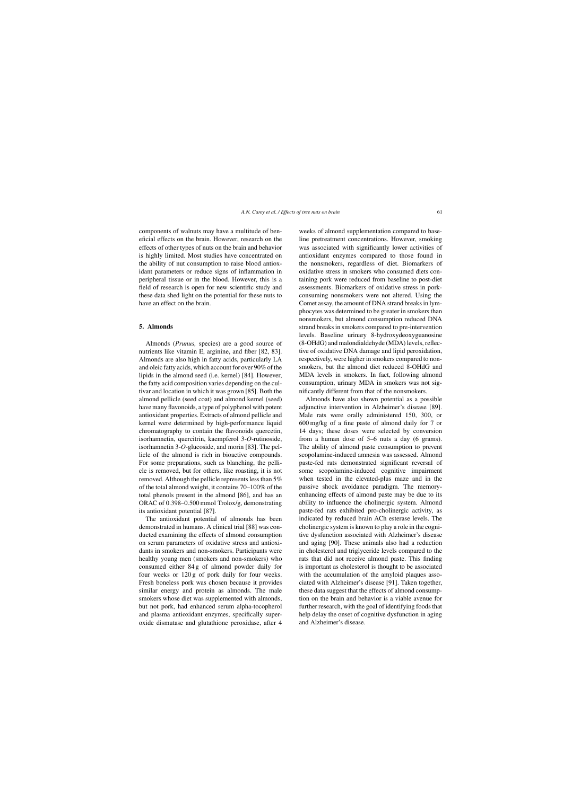components of walnuts may have a multitude of beneficial effects on the brain. However, research on the effects of other types of nuts on the brain and behavior is highly limited. Most studies have concentrated on the ability of nut consumption to raise blood antioxidant parameters or reduce signs of inflammation in peripheral tissue or in the blood. However, this is a field of research is open for new scientific study and these data shed light on the potential for these nuts to have an effect on the brain.

## **5. Almonds**

Almonds (*Prunus,* species) are a good source of nutrients like vitamin E, arginine, and fiber [82, 83]. Almonds are also high in fatty acids, particularly LA and oleic fatty acids, which account for over 90% of the lipids in the almond seed (i.e. kernel) [84]. However, the fatty acid composition varies depending on the cultivar and location in which it was grown [85]. Both the almond pellicle (seed coat) and almond kernel (seed) have many flavonoids, a type of polyphenol with potent antioxidant properties. Extracts of almond pellicle and kernel were determined by high-performance liquid chromatography to contain the flavonoids quercetin, isorhamnetin, quercitrin, kaempferol 3-*O*-rutinoside, isorhamnetin 3-*O*-glucoside, and morin [83]. The pellicle of the almond is rich in bioactive compounds. For some preparations, such as blanching, the pellicle is removed, but for others, like roasting, it is not removed. Although the pellicle represents less than 5% of the total almond weight, it contains 70–100% of the total phenols present in the almond [86], and has an ORAC of 0.398–0.500 mmol Trolox/g, demonstrating its antioxidant potential [87].

The antioxidant potential of almonds has been demonstrated in humans. A clinical trial [88] was conducted examining the effects of almond consumption on serum parameters of oxidative stress and antioxidants in smokers and non-smokers. Participants were healthy young men (smokers and non-smokers) who consumed either 84 g of almond powder daily for four weeks or 120 g of pork daily for four weeks. Fresh boneless pork was chosen because it provides similar energy and protein as almonds. The male smokers whose diet was supplemented with almonds, but not pork, had enhanced serum alpha-tocopherol and plasma antioxidant enzymes, specifically superoxide dismutase and glutathione peroxidase, after 4

weeks of almond supplementation compared to baseline pretreatment concentrations. However, smoking was associated with significantly lower activities of antioxidant enzymes compared to those found in the nonsmokers, regardless of diet. Biomarkers of oxidative stress in smokers who consumed diets containing pork were reduced from baseline to post-diet assessments. Biomarkers of oxidative stress in porkconsuming nonsmokers were not altered. Using the Comet assay, the amount of DNA strand breaks in lymphocytes was determined to be greater in smokers than nonsmokers, but almond consumption reduced DNA strand breaks in smokers compared to pre-intervention levels. Baseline urinary 8-hydroxydeoxyguanosine (8-OHdG) and malondialdehyde (MDA) levels, reflective of oxidative DNA damage and lipid peroxidation, respectively, were higher in smokers compared to nonsmokers, but the almond diet reduced 8-OHdG and MDA levels in smokers. In fact, following almond consumption, urinary MDA in smokers was not significantly different from that of the nonsmokers.

Almonds have also shown potential as a possible adjunctive intervention in Alzheimer's disease [89]. Male rats were orally administered 150, 300, or 600 mg/kg of a fine paste of almond daily for 7 or 14 days; these doses were selected by conversion from a human dose of 5–6 nuts a day (6 grams). The ability of almond paste consumption to prevent scopolamine-induced amnesia was assessed. Almond paste-fed rats demonstrated significant reversal of some scopolamine-induced cognitive impairment when tested in the elevated-plus maze and in the passive shock avoidance paradigm. The memoryenhancing effects of almond paste may be due to its ability to influence the cholinergic system. Almond paste-fed rats exhibited pro-cholinergic activity, as indicated by reduced brain ACh esterase levels. The cholinergic system is known to play a role in the cognitive dysfunction associated with Alzheimer's disease and aging [90]. These animals also had a reduction in cholesterol and triglyceride levels compared to the rats that did not receive almond paste. This finding is important as cholesterol is thought to be associated with the accumulation of the amyloid plaques associated with Alzheimer's disease [91]. Taken together, these data suggest that the effects of almond consumption on the brain and behavior is a viable avenue for further research, with the goal of identifying foods that help delay the onset of cognitive dysfunction in aging and Alzheimer's disease.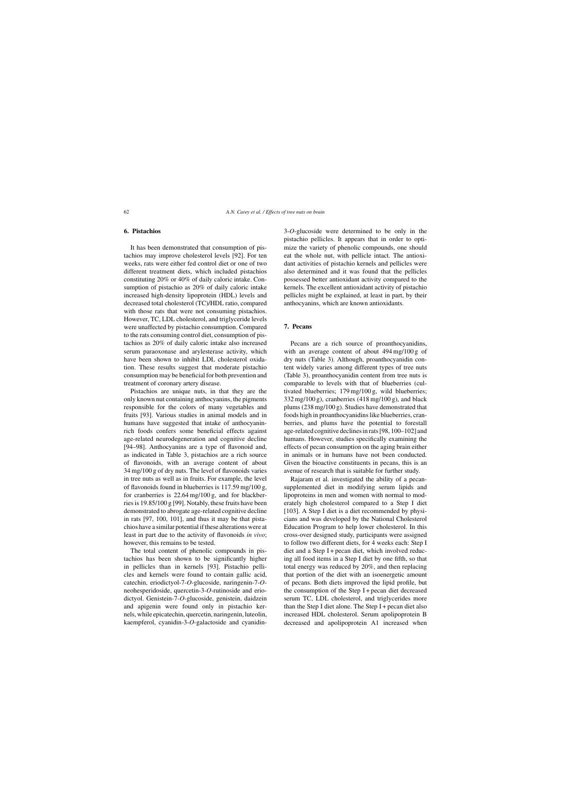#### **6. Pistachios**

It has been demonstrated that consumption of pistachios may improve cholesterol levels [92]. For ten weeks, rats were either fed control diet or one of two different treatment diets, which included pistachios constituting 20% or 40% of daily caloric intake. Consumption of pistachio as 20% of daily caloric intake increased high-density lipoprotein (HDL) levels and decreased total cholesterol (TC)/HDL ratio, compared with those rats that were not consuming pistachios. However, TC, LDL cholesterol, and triglyceride levels were unaffected by pistachio consumption. Compared to the rats consuming control diet, consumption of pistachios as 20% of daily caloric intake also increased serum paraoxonase and arylesterase activity, which have been shown to inhibit LDL cholesterol oxidation. These results suggest that moderate pistachio consumption may be beneficial for both prevention and treatment of coronary artery disease.

Pistachios are unique nuts, in that they are the only known nut containing anthocyanins, the pigments responsible for the colors of many vegetables and fruits [93]. Various studies in animal models and in humans have suggested that intake of anthocyaninrich foods confers some beneficial effects against age-related neurodegeneration and cognitive decline [94–98]. Anthocyanins are a type of flavonoid and, as indicated in Table 3, pistachios are a rich source of flavonoids, with an average content of about 34 mg/100 g of dry nuts. The level of flavonoids varies in tree nuts as well as in fruits. For example, the level of flavonoids found in blueberries is 117.59 mg/100 g, for cranberries is 22.64 mg/100 g, and for blackberries is 19.85/100 g [99]. Notably, these fruits have been demonstrated to abrogate age-related cognitive decline in rats [97, 100, 101], and thus it may be that pistachios have a similar potential if these alterations were at least in part due to the activity of flavonoids *in vivo*; however, this remains to be tested.

The total content of phenolic compounds in pistachios has been shown to be significantly higher in pellicles than in kernels [93]. Pistachio pellicles and kernels were found to contain gallic acid, catechin, eriodictyol-7-*O*-glucoside, naringenin-7-*O*neohesperidoside, quercetin-3-*O*-rutinoside and eriodictyol. Genistein-7-*O*-glucoside, genistein, daidzein and apigenin were found only in pistachio kernels, while epicatechin, quercetin, naringenin, luteolin, kaempferol, cyanidin-3-*O*-galactoside and cyanidin-

3-*O*-glucoside were determined to be only in the pistachio pellicles. It appears that in order to optimize the variety of phenolic compounds, one should eat the whole nut, with pellicle intact. The antioxidant activities of pistachio kernels and pellicles were also determined and it was found that the pellicles possessed better antioxidant activity compared to the kernels. The excellent antioxidant activity of pistachio pellicles might be explained, at least in part, by their anthocyanins, which are known antioxidants.

## **7. Pecans**

Pecans are a rich source of proanthocyanidins, with an average content of about 494 mg/100 g of dry nuts (Table 3). Although, proanthocyanidin content widely varies among different types of tree nuts (Table 3), proanthocyanidin content from tree nuts is comparable to levels with that of blueberries (cultivated blueberries; 179 mg/100 g, wild blueberries; 332 mg/100 g), cranberries (418 mg/100 g), and black plums (238 mg/100 g). Studies have demonstrated that foods high in proanthocyanidins like blueberries, cranberries, and plums have the potential to forestall age-related cognitive declines in rats [98, 100–102] and humans. However, studies specifically examining the effects of pecan consumption on the aging brain either in animals or in humans have not been conducted. Given the bioactive constituents in pecans, this is an avenue of research that is suitable for further study.

Rajaram et al. investigated the ability of a pecansupplemented diet in modifying serum lipids and lipoproteins in men and women with normal to moderately high cholesterol compared to a Step I diet [103]. A Step I diet is a diet recommended by physicians and was developed by the National Cholesterol Education Program to help lower cholesterol. In this cross-over designed study, participants were assigned to follow two different diets, for 4 weeks each: Step I diet and a Step I + pecan diet, which involved reducing all food items in a Step I diet by one fifth, so that total energy was reduced by 20%, and then replacing that portion of the diet with an isoenergetic amount of pecans. Both diets improved the lipid profile, but the consumption of the Step  $I$  + pecan diet decreased serum TC, LDL cholesterol, and triglycerides more than the Step I diet alone. The Step I + pecan diet also increased HDL cholesterol. Serum apolipoprotein B decreased and apolipoprotein A1 increased when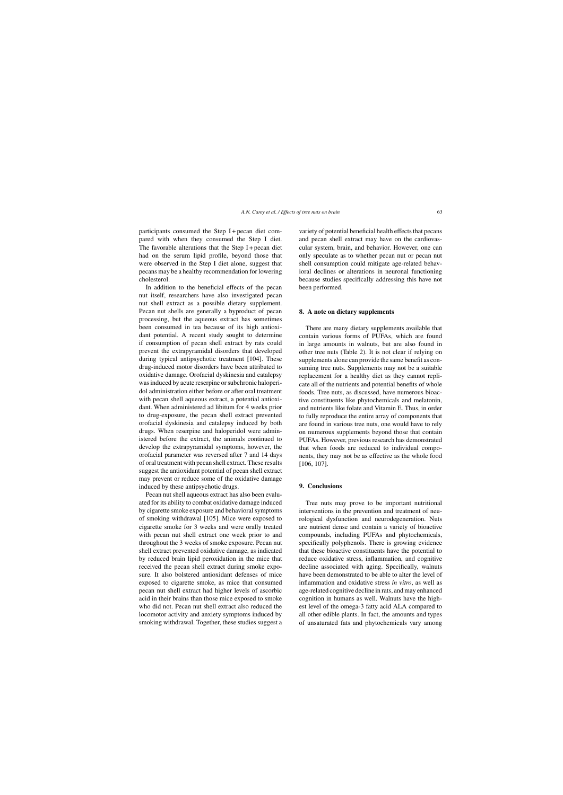participants consumed the Step I + pecan diet compared with when they consumed the Step I diet. The favorable alterations that the Step  $I$  + pecan diet had on the serum lipid profile, beyond those that were observed in the Step I diet alone, suggest that pecans may be a healthy recommendation for lowering cholesterol.

In addition to the beneficial effects of the pecan nut itself, researchers have also investigated pecan nut shell extract as a possible dietary supplement. Pecan nut shells are generally a byproduct of pecan processing, but the aqueous extract has sometimes been consumed in tea because of its high antioxidant potential. A recent study sought to determine if consumption of pecan shell extract by rats could prevent the extrapyramidal disorders that developed during typical antipsychotic treatment [104]. These drug-induced motor disorders have been attributed to oxidative damage. Orofacial dyskinesia and catalepsy was induced by acute reserpine or subchronic haloperidol administration either before or after oral treatment with pecan shell aqueous extract, a potential antioxidant. When administered ad libitum for 4 weeks prior to drug-exposure, the pecan shell extract prevented orofacial dyskinesia and catalepsy induced by both drugs. When reserpine and haloperidol were administered before the extract, the animals continued to develop the extrapyramidal symptoms, however, the orofacial parameter was reversed after 7 and 14 days of oral treatment with pecan shell extract. These results suggest the antioxidant potential of pecan shell extract may prevent or reduce some of the oxidative damage induced by these antipsychotic drugs.

Pecan nut shell aqueous extract has also been evaluated for its ability to combat oxidative damage induced by cigarette smoke exposure and behavioral symptoms of smoking withdrawal [105]. Mice were exposed to cigarette smoke for 3 weeks and were orally treated with pecan nut shell extract one week prior to and throughout the 3 weeks of smoke exposure. Pecan nut shell extract prevented oxidative damage, as indicated by reduced brain lipid peroxidation in the mice that received the pecan shell extract during smoke exposure. It also bolstered antioxidant defenses of mice exposed to cigarette smoke, as mice that consumed pecan nut shell extract had higher levels of ascorbic acid in their brains than those mice exposed to smoke who did not. Pecan nut shell extract also reduced the locomotor activity and anxiety symptoms induced by smoking withdrawal. Together, these studies suggest a variety of potential beneficial health effects that pecans and pecan shell extract may have on the cardiovascular system, brain, and behavior. However, one can only speculate as to whether pecan nut or pecan nut shell consumption could mitigate age-related behavioral declines or alterations in neuronal functioning because studies specifically addressing this have not been performed.

#### **8. A note on dietary supplements**

There are many dietary supplements available that contain various forms of PUFAs, which are found in large amounts in walnuts, but are also found in other tree nuts (Table 2). It is not clear if relying on supplements alone can provide the same benefit as consuming tree nuts. Supplements may not be a suitable replacement for a healthy diet as they cannot replicate all of the nutrients and potential benefits of whole foods. Tree nuts, as discussed, have numerous bioactive constituents like phytochemicals and melatonin, and nutrients like folate and Vitamin E. Thus, in order to fully reproduce the entire array of components that are found in various tree nuts, one would have to rely on numerous supplements beyond those that contain PUFAs. However, previous research has demonstrated that when foods are reduced to individual components, they may not be as effective as the whole food [106, 107].

### **9. Conclusions**

Tree nuts may prove to be important nutritional interventions in the prevention and treatment of neurological dysfunction and neurodegeneration. Nuts are nutrient dense and contain a variety of bioactive compounds, including PUFAs and phytochemicals, specifically polyphenols. There is growing evidence that these bioactive constituents have the potential to reduce oxidative stress, inflammation, and cognitive decline associated with aging. Specifically, walnuts have been demonstrated to be able to alter the level of inflammation and oxidative stress *in vitro*, as well as age-related cognitive decline in rats, and may enhanced cognition in humans as well. Walnuts have the highest level of the omega-3 fatty acid ALA compared to all other edible plants. In fact, the amounts and types of unsaturated fats and phytochemicals vary among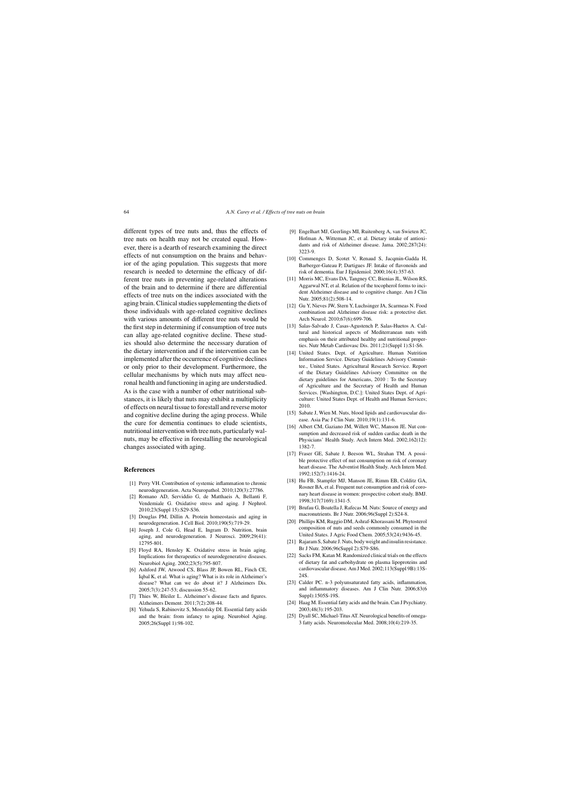different types of tree nuts and, thus the effects of tree nuts on health may not be created equal. However, there is a dearth of research examining the direct effects of nut consumption on the brains and behavior of the aging population. This suggests that more research is needed to determine the efficacy of different tree nuts in preventing age-related alterations of the brain and to determine if there are differential effects of tree nuts on the indices associated with the aging brain. Clinical studies supplementing the diets of those individuals with age-related cognitive declines with various amounts of different tree nuts would be the first step in determining if consumption of tree nuts can allay age-related cognitive decline. These studies should also determine the necessary duration of the dietary intervention and if the intervention can be implemented after the occurrence of cognitive declines or only prior to their development. Furthermore, the cellular mechanisms by which nuts may affect neuronal health and functioning in aging are understudied. As is the case with a number of other nutritional substances, it is likely that nuts may exhibit a multiplicity of effects on neural tissue to forestall and reverse motor and cognitive decline during the aging process. While the cure for dementia continues to elude scientists, nutritional intervention with tree nuts, particularly walnuts, may be effective in forestalling the neurological changes associated with aging.

#### **References**

- [1] Perry VH. Contribution of systemic inflammation to chronic neurodegeneration. Acta Neuropathol. 2010;120(3):27786.
- [2] Romano AD, Serviddio G, de Matthaeis A, Bellanti F, Vendemiale G. Oxidative stress and aging. J Nephrol. 2010;23(Suppl 15):S29-S36.
- [3] Douglas PM, Dillin A. Protein homeostasis and aging in neurodegeneration. J Cell Biol. 2010;190(5):719-29.
- [4] Joseph J, Cole G, Head E, Ingram D. Nutrition, brain aging, and neurodegeneration. J Neurosci. 2009;29(41): 12795-801.
- [5] Floyd RA, Hensley K. Oxidative stress in brain aging. Implications for therapeutics of neurodegenerative diseases. Neurobiol Aging. 2002;23(5):795-807.
- [6] Ashford JW, Atwood CS, Blass JP, Bowen RL, Finch CE, Iqbal K, et al. What is aging? What is its role in Alzheimer's disease? What can we do about it? J Alzheimers Dis. 2005;7(3):247-53; discussion 55-62.
- [7] Thies W, Bleiler L. Alzheimer's disease facts and figures. Alzheimers Dement. 2011;7(2):208-44.
- [8] Yehuda S, Rabinovitz S, Mostofsky DI. Essential fatty acids and the brain: from infancy to aging. Neurobiol Aging. 2005;26(Suppl 1):98-102.
- [9] Engelhart MJ, Geerlings MI, Ruitenberg A, van Swieten JC, Hofman A, Witteman JC, et al. Dietary intake of antioxidants and risk of Alzheimer disease. Jama. 2002;287(24): 3223-9.
- [10] Commenges D, Scotet V, Renaud S, Jacqmin-Gadda H, Barberger-Gateau P, Dartigues JF. Intake of flavonoids and risk of dementia. Eur J Epidemiol. 2000;16(4):357-63.
- [11] Morris MC, Evans DA, Tangney CC, Bienias JL, Wilson RS, Aggarwal NT, et al. Relation of the tocopherol forms to incident Alzheimer disease and to cognitive change. Am J Clin Nutr. 2005;81(2):508-14.
- [12] Gu Y, Nieves JW, Stern Y, Luchsinger JA, Scarmeas N. Food combination and Alzheimer disease risk: a protective diet. Arch Neurol. 2010;67(6):699-706.
- [13] Salas-Salvado J, Casas-Agustench P, Salas-Huetos A. Cultural and historical aspects of Mediterranean nuts with emphasis on their attributed healthy and nutritional properties. Nutr Metab Cardiovasc Dis. 2011;21(Suppl 1):S1-S6.
- [14] United States. Dept. of Agriculture. Human Nutrition Information Service. Dietary Guidelines Advisory Committee., United States. Agricultural Research Service. Report of the Dietary Guidelines Advisory Committee on the dietary guidelines for Americans, 2010 : To the Secretary of Agriculture and the Secretary of Health and Human Services. [Washington, D.C.]: United States Dept. of Agriculture: United States Dept. of Health and Human Services; 2010.
- [15] Sabate J, Wien M. Nuts, blood lipids and cardiovascular disease. Asia Pac J Clin Nutr. 2010;19(1):131-6.
- [16] Albert CM, Gaziano JM, Willett WC, Manson JE. Nut consumption and decreased risk of sudden cardiac death in the Physicians' Health Study. Arch Intern Med. 2002;162(12): 1382-7.
- [17] Fraser GE, Sabate J, Beeson WL, Strahan TM. A possible protective effect of nut consumption on risk of coronary heart disease. The Adventist Health Study. Arch Intern Med. 1992;152(7):1416-24.
- [18] Hu FB, Stampfer MJ, Manson JE, Rimm EB, Colditz GA, Rosner BA, et al. Frequent nut consumption and risk of coronary heart disease in women: prospective cohort study. BMJ. 1998;317(7169):1341-5.
- [19] Brufau G, Boatella J, Rafecas M. Nuts: Source of energy and macronutrients. Br J Nutr. 2006;96(Suppl 2):S24-8.
- [20] Phillips KM, Ruggio DM, Ashraf-Khorassani M. Phytosterol composition of nuts and seeds commonly consumed in the United States. J Agric Food Chem. 2005;53(24):9436-45.
- [21] Rajaram S, Sabate J. Nuts, body weight and insulin resistance. Br J Nutr. 2006;96(Suppl 2):S79-S86.
- [22] Sacks FM, Katan M. Randomized clinical trials on the effects of dietary fat and carbohydrate on plasma lipoproteins and cardiovascular disease. Am J Med. 2002;113(Suppl 9B):13S-24S.
- [23] Calder PC, n-3 polyunsaturated fatty acids, inflammation, and inflammatory diseases. Am J Clin Nutr. 2006;83(6 Suppl):1505S-19S.
- [24] Haag M. Essential fatty acids and the brain. Can J Psychiatry. 2003;48(3):195-203.
- [25] Dyall SC, Michael-Titus AT. Neurological benefits of omega-3 fatty acids. Neuromolecular Med. 2008;10(4):219-35.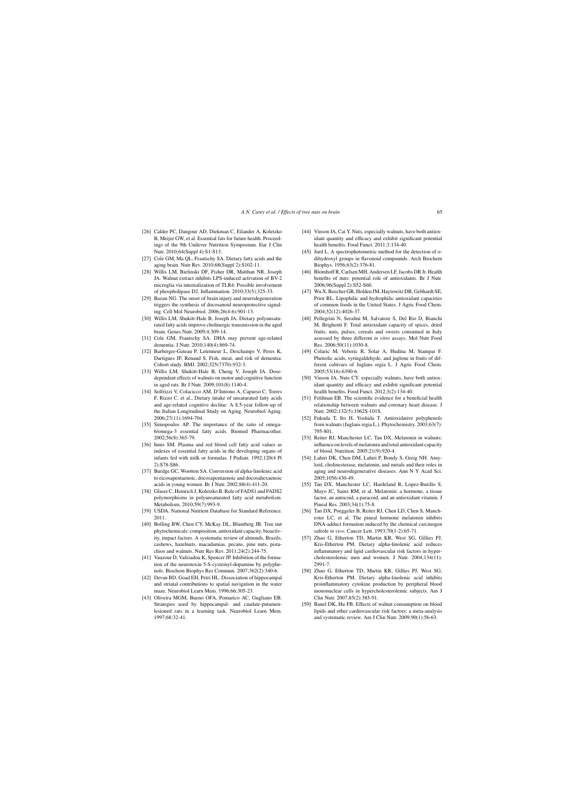- [26] Calder PC, Dangour AD, Diekman C, Eilander A, Koletzko B, Meijer GW, et al. Essential fats for future health. Proceedings of the 9th Unilever Nutrition Symposium. Eur J Clin Nutr. 2010;64(Suppl 4):S1-S13.
- [27] Cole GM, Ma OL, Frautschy SA. Dietary fatty acids and the aging brain. Nutr Rev. 2010;68(Suppl 2):S102-11.
- [28] Willis LM, Bielinski DF, Fisher DR, Matthan NR, Joseph JA. Walnut extract inhibits LPS-induced activation of BV-2 microglia via internalization of TLR4: Possible involvement of phospholipase D2. Inflammation. 2010;33(5):325-33.
- [29] Bazan NG. The onset of brain injury and neurodegeneration triggers the synthesis of docosanoid neuroprotective signaling. Cell Mol Neurobiol. 2006;26(4-6):901-13.
- [30] Willis LM, Shukitt-Hale B, Joseph JA. Dietary polyunsaturated fatty acids improve cholinergic transmission in the aged brain. Genes Nutr. 2009;4:309-14.
- [31] Cole GM, Frautschy SA. DHA may prevent age-related dementia. J Nutr. 2010;140(4):869-74.
- [32] Barberger-Gateau P, Letenneur L, Deschamps V, Peres K, Dartigues JF, Renaud S. Fish, meat, and risk of dementia: Cohort study. BMJ. 2002;325(7370):932-3.
- [33] Willis LM, Shukitt-Hale B, Cheng V, Joseph JA. Dosedependent effects of walnuts on motor and cognitive function in aged rats. Br J Nutr. 2009;101(8):1140-4.
- [34] Solfrizzi V, Colacicco AM, D'Introno A, Capurso C, Torres F, Rizzo C. et al., Dietary intake of unsaturated fatty acids and age-related cognitive decline: A 8.5-year follow-up of the Italian Longitudinal Study on Aging. Neurobiol Aging. 2006;27(11):1694-704.
- [35] Simopoulos AP. The importance of the ratio of omega-6/omega-3 essential fatty acids. Biomed Pharmacother. 2002;56(8):365-79.
- [36] Innis SM. Plasma and red blood cell fatty acid values as indexes of essential fatty acids in the developing organs of infants fed with milk or formulas. J Pediatr. 1992;120(4 Pt 2):S78-S86.
- [37] Burdge GC, Wootton SA. Conversion of alpha-linolenic acid to eicosapentaenoic, docosapentaenoic and docosahexaenoic acids in young women. Br J Nutr. 2002;88(4):411-20.
- [38] Glaser C, Heinrich J, Koletzko B. Role of FADS1 and FADS2 polymorphisms in polyunsaturated fatty acid metabolism. Metabolism. 2010;59(7):993-9.
- [39] USDA. National Nutrient Database for Standard Reference. 2011.
- [40] Bolling BW, Chen CY, McKay DL, Blumberg JB. Tree nut phytochemicals: composition, antioxidant capacity, bioactivity, impact factors. A systematic review of almonds, Brazils, cashews, hazelnuts, macadamias, pecans, pine nuts, pistachios and walnuts. Nutr Res Rev. 2011;24(2):244-75.
- [41] Vauzour D, Vafeiadou K, Spencer JP. Inhibition of the formation of the neurotoxin 5-S-cysteinyl-dopamine by polyphenols. Biochem Biophys Res Commun. 2007;362(2):340-6.
- [42] Devan BD, Goad EH, Petri HL. Dissociation of hippocampal and striatal contributions to spatial navigation in the water maze. Neurobiol Learn Mem. 1996;66:305-23.
- [43] Oliveira MGM, Bueno OFA, Pomarico AC, Gugliano EB. Strategies used by hippocampal- and caudate-putamenlesioned rats in a learning task. Neurobiol Learn Mem. 1997;68:32-41.
- [44] Vinson JA, Cai Y. Nuts, especially walnuts, have both antioxidant quantity and efficacy and exhibit significant potential health benefits. Food Funct. 2011;3:134-40.
- [45] Jurd L. A spectrophotometric method for the detection of odihydroxyl groups in flavonoid compounds. Arch Biochem Biophys. 1956;63(2):376-81.
- [46] Blomhoff R, Carlsen MH, Andersen LF, Jacobs DR Jr. Health benefits of nuts: potential role of antioxidants. Br J Nutr. 2006;96(Suppl 2):S52-S60.
- [47] Wu X, Beecher GR, Holden JM, Haytowitz DB, Gebhardt SE, Prior RL. Lipophilic and hydrophilic antioxidant capacities of common foods in the United States. J Agric Food Chem. 2004;52(12):4026-37.
- [48] Pellegrini N, Serafini M, Salvatore S, Del Rio D, Bianchi M, Brighenti F. Total antioxidant capacity of spices, dried fruits, nuts, pulses, cereals and sweets consumed in Italy assessed by three different *in vitro* assays. Mol Nutr Food Res. 2006;50(11):1030-8.
- [49] Colaric M, Veberic R, Solar A, Hudina M, Stampar F. Phenolic acids, syringaldehyde, and juglone in fruits of different cultivars of Juglans regia L. J Agric Food Chem. 2005;53(16):6390-6.
- [50] Vinson JA, Nuts CY. especially walnuts, have both antioxidant quantity and efficacy and exhibit significant potential health benefits. Food Funct. 2012;3(2):134-40.
- [51] Feldman EB. The scientific evidence for a beneficial health relationship between walnuts and coronary heart disease. J Nutr. 2002;132(5):1062S-101S.
- [52] Fukuda T, Ito H, Yoshida T. Antioxidative polyphenols from walnuts (Juglans regia L.). Phytochemistry. 2003;63(7): 795-801.
- [53] Reiter RJ, Manchester LC, Tan DX. Melatonin in walnuts: influence on levels of melatonin and total antioxidant capacity of blood. Nutrition. 2005;21(9):920-4.
- [54] Lahiri DK, Chen DM, Lahiri P, Bondy S, Greig NH. Amyloid, cholinesterase, melatonin, and metals and their roles in aging and neurodegenerative diseases. Ann N Y Acad Sci. 2005;1056:430-49.
- [55] Tan DX, Manchester LC, Hardeland R, Lopez-Burillo S, Mayo JC, Sainz RM, et al. Melatonin: a hormone, a tissue factor, an autocoid, a paracoid, and an antioxidant vitamin. J Pineal Res. 2003;34(1):75-8.
- [56] Tan DX, Poeggeler B, Reiter RJ, Chen LD, Chen S, Manchester LC, et al. The pineal hormone melatonin inhibits DNA-adduct formation induced by the chemical carcinogen safrole *in vivo*. Cancer Lett. 1993;70(1-2):65-71.
- [57] Zhao G, Etherton TD, Martin KR, West SG, Gillies PJ, Kris-Etherton PM. Dietary alpha-linolenic acid reduces inflammatory and lipid cardiovascular risk factors in hypercholesterolemic men and women. J Nutr. 2004;134(11): 2991-7.
- [58] Zhao G, Etherton TD, Martin KR, Gillies PJ, West SG, Kris-Etherton PM. Dietary alpha-linolenic acid inhibits proinflammatory cytokine production by peripheral blood mononuclear cells in hypercholesterolemic subjects. Am J Clin Nutr. 2007;85(2):385-91.
- [59] Banel DK, Hu FB. Effects of walnut consumption on blood lipids and other cardiovascular risk factors: a meta-analysis and systematic review. Am J Clin Nutr. 2009;90(1):56-63.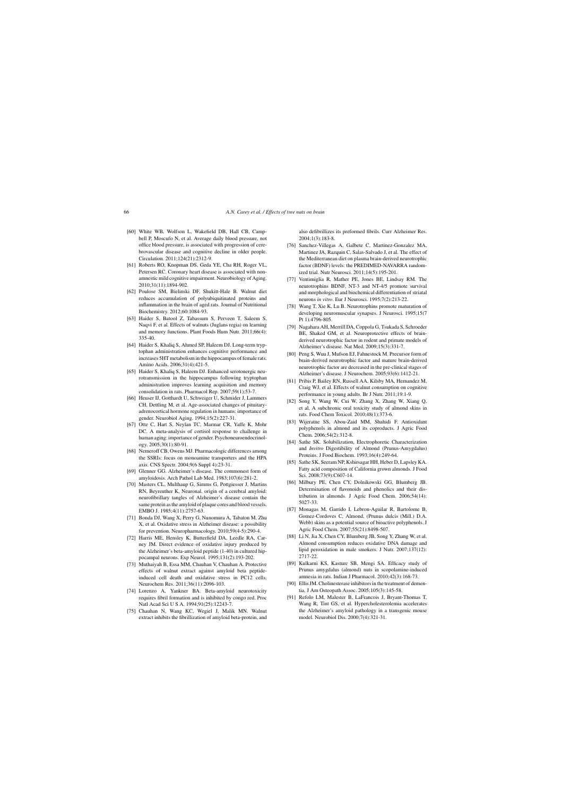- [60] White WB, Wolfson L, Wakefield DB, Hall CB, Campbell P, Moscufo N, et al. Average daily blood pressure, not office blood pressure, is associated with progression of cerebrovascular disease and cognitive decline in older people. Circulation. 2011;124(21):2312-9.
- [61] Roberts RO, Knopman DS, Geda YE, Cha RH, Roger VL, Petersen RC. Coronary heart disease is associated with nonamnestic mild cognitive impairment. Neurobiology of Aging. 2010;31(11):1894-902.
- [62] Poulose SM, Bielinski DF, Shukitt-Hale B. Walnut diet reduces accumulation of polyubiquitinated proteins and inflammation in the brain of aged rats. Journal of Nutritional Biochemistry. 2012;60:1084-93.
- [63] Haider S, Batool Z, Tabassum S, Perveen T, Saleem S, Naqvi F, et al. Effects of walnuts (Juglans regia) on learning and memory functions. Plant Foods Hum Nutr. 2011;66(4): 335-40.
- [64] Haider S, Khaliq S, Ahmed SP, Haleem DJ. Long-term tryptophan administration enhances cognitive performance and increases 5HT metabolism in the hippocampus of female rats. Amino Acids. 2006;31(4):421-5.
- [65] Haider S, Khaliq S, Haleem DJ. Enhanced serotonergic neurotransmission in the hippocampus following tryptophan administration improves learning acquisition and memory consolidation in rats. Pharmacol Rep. 2007;59(1):53-7.
- [66] Heuser IJ, Gotthardt U, Schweiger U, Schmider J, Lammers CH, Dettling M, et al. Age-associated changes of pituitaryadrenocortical hormone regulation in humans: importance of gender. Neurobiol Aging. 1994;15(2):227-31.
- [67] Otte C, Hart S, Neylan TC, Marmar CR, Yaffe K, Mohr DC. A meta-analysis of cortisol response to challenge in human aging: importance of gender. Psychoneuroendocrinology. 2005;30(1):80-91.
- [68] Nemeroff CB, Owens MJ. Pharmacologic differences among the SSRIs: focus on monoamine transporters and the HPA axis. CNS Spectr. 2004;9(6 Suppl 4):23-31.
- [69] Glenner GG. Alzheimer's disease. The commonest form of amyloidosis. Arch Pathol Lab Med. 1983;107(6):281-2.
- [70] Masters CL, Multhaup G, Simms G, Pottgiesser J, Martins RN, Beyreuther K, Neuronal. origin of a cerebral amyloid: neurofibrillary tangles of Alzheimer's disease contain the same protein as the amyloid of plaque cores and blood vessels. EMBO J. 1985;4(11):2757-63.
- [71] Bonda DJ, Wang X, Perry G, Nunomura A, Tabaton M, Zhu X, et al. Oxidative stress in Alzheimer disease: a possibility for prevention. Neuropharmacology. 2010;59(4-5):290-4.
- [72] Harris ME, Hensley K, Butterfield DA, Leedle RA, Carney JM. Direct evidence of oxidative injury produced by the Alzheimer's beta-amyloid peptide (1-40) in cultured hippocampal neurons. Exp Neurol. 1995;131(2):193-202.
- [73] Muthaiyah B, Essa MM, Chauhan V, Chauhan A. Protective effects of walnut extract against amyloid beta peptideinduced cell death and oxidative stress in PC12 cells. Neurochem Res. 2011;36(11):2096-103.
- [74] Lorenzo A, Yankner BA. Beta-amyloid neurotoxicity requires fibril formation and is inhibited by congo red. Proc Natl Acad Sci U S A. 1994;91(25):12243-7.
- [75] Chauhan N, Wang KC, Wegiel J, Malik MN. Walnut extract inhibits the fibrillization of amyloid beta-protein, and

also defibrillizes its preformed fibrils. Curr Alzheimer Res. 2004;1(3):183-8.

- [76] Sanchez-Villegas A, Galbete C, Martinez-Gonzalez MA, Martinez JA, Razquin C, Salas-Salvado J, et al. The effect of the Mediterranean diet on plasma brain-derived neurotrophic factor (BDNF) levels: the PREDIMED-NAVARRA randomized trial. Nutr Neurosci. 2011;14(5):195-201.
- [77] Ventimiglia R, Mather PE, Jones BE, Lindsay RM. The neurotrophins BDNF, NT-3 and NT-4/5 promote survival and morphological and biochemical differentiation of striatal neurons *in vitro*. Eur J Neurosci. 1995;7(2):213-22.
- [78] Wang T, Xie K, Lu B. Neurotrophins promote maturation of developing neuromuscular synapses. J Neurosci. 1995;15(7 Pt 1):4796-805.
- [79] Nagahara AH, Merrill DA, Coppola G, Tsukada S, Schroeder BE, Shaked GM, et al. Neuroprotective effects of brainderived neurotrophic factor in rodent and primate models of Alzheimer's disease. Nat Med. 2009;15(3):331-7.
- [80] Peng S, Wuu J, Mufson EJ, Fahnestock M. Precursor form of brain-derived neurotrophic factor and mature brain-derived neurotrophic factor are decreased in the pre-clinical stages of Alzheimer's disease. J Neurochem. 2005;93(6):1412-21.
- [81] Pribis P, Bailey RN, Russell AA, Kilsby MA, Hernandez M, Craig WJ, et al. Effects of walnut consumption on cognitive performance in young adults. Br J Nutr. 2011;19:1-9.
- [82] Song Y, Wang W, Cui W, Zhang X, Zhang W, Xiang Q, et al. A subchronic oral toxicity study of almond skins in rats. Food Chem Toxicol. 2010;48(1):373-6.
- [83] Wijeratne SS, Abou-Zaid MM, Shahidi F. Antioxidant polyphenols in almond and its coproducts. J Agric Food Chem. 2006;54(2):312-8.
- [84] Sathe SK. Solubilization, Electrophoretic Characterization and *Invitro* Digestibility of Almond (Prunus-Amygdalus) Proteins. J Food Biochem. 1993;16(4):249-64.
- [85] Sathe SK, Seeram NP, Kshirsagar HH, Heber D, Lapsley KA. Fatty acid composition of California grown almonds. J Food Sci. 2008;73(9):C607-14.
- [86] Milbury PE, Chen CY, Dolnikowski GG, Blumberg JB. Determination of flavonoids and phenolics and their distribution in almonds. J Agric Food Chem. 2006;54(14): 5027-33.
- [87] Monagas M, Garrido I, Lebron-Aguilar R, Bartolome B, Gomez-Cordoves C, Almond. (Prunus dulcis (Mill.) D.A. Webb) skins as a potential source of bioactive polyphenols. J Agric Food Chem. 2007;55(21):8498-507.
- [88] Li N, Jia X, Chen CY, Blumberg JB, Song Y, Zhang W, et al. Almond consumption reduces oxidative DNA damage and lipid peroxidation in male smokers. J Nutr. 2007;137(12): 2717-22.
- [89] Kulkarni KS, Kasture SB, Mengi SA. Efficacy study of Prunus amygdalus (almond) nuts in scopolamine-induced amnesia in rats. Indian J Pharmacol. 2010;42(3):168-73.
- [90] Ellis JM. Cholinesterase inhibitors in the treatment of dementia. J Am Osteopath Assoc. 2005;105(3):145-58.
- [91] Refolo LM, Malester B, LaFrancois J, Bryant-Thomas T, Wang R, Tint GS, et al. Hypercholesterolemia accelerates the Alzheimer's amyloid pathology in a transgenic mouse model. Neurobiol Dis. 2000;7(4):321-31.